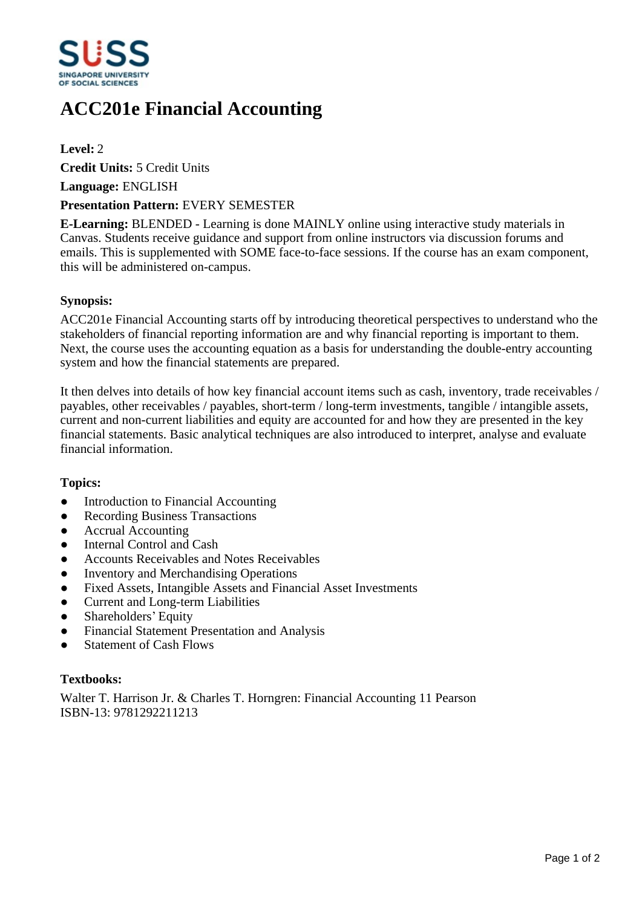

# **ACC201e Financial Accounting**

**Level:** 2

**Credit Units:** 5 Credit Units

**Language:** ENGLISH

## **Presentation Pattern:** EVERY SEMESTER

**E-Learning:** BLENDED - Learning is done MAINLY online using interactive study materials in Canvas. Students receive guidance and support from online instructors via discussion forums and emails. This is supplemented with SOME face-to-face sessions. If the course has an exam component, this will be administered on-campus.

## **Synopsis:**

ACC201e Financial Accounting starts off by introducing theoretical perspectives to understand who the stakeholders of financial reporting information are and why financial reporting is important to them. Next, the course uses the accounting equation as a basis for understanding the double-entry accounting system and how the financial statements are prepared.

It then delves into details of how key financial account items such as cash, inventory, trade receivables / payables, other receivables / payables, short-term / long-term investments, tangible / intangible assets, current and non-current liabilities and equity are accounted for and how they are presented in the key financial statements. Basic analytical techniques are also introduced to interpret, analyse and evaluate financial information.

#### **Topics:**

- Introduction to Financial Accounting
- Recording Business Transactions
- Accrual Accounting
- Internal Control and Cash
- Accounts Receivables and Notes Receivables
- Inventory and Merchandising Operations
- ƔFixed Assets, Intangible Assets and Financial Asset Investments
- Current and Long-term Liabilities
- Shareholders' Equity
- Financial Statement Presentation and Analysis
- Statement of Cash Flows

## **Textbooks:**

Walter T. Harrison Jr. & Charles T. Horngren: Financial Accounting 11 Pearson ISBN-13: 9781292211213